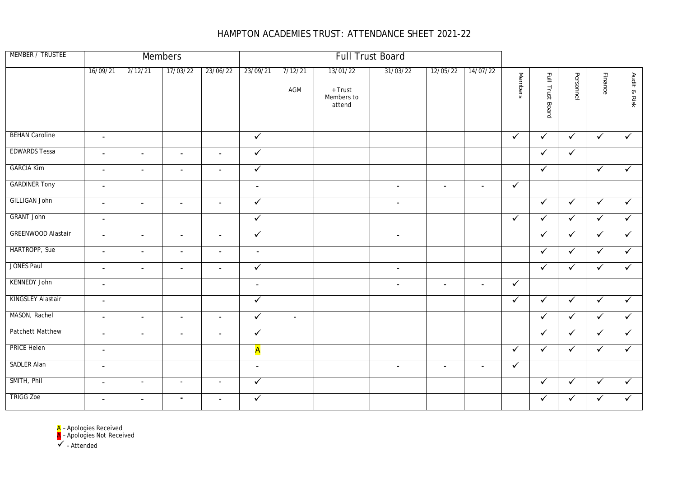## HAMPTON ACADEMIES TRUST: ATTENDANCE SHEET 2021-22

| MEMBER / TRUSTEE          | <b>Members</b><br><b>Full Trust Board</b> |                |                          |                          |                |                |                                             |                |                          |                |                |                  |              |              |              |
|---------------------------|-------------------------------------------|----------------|--------------------------|--------------------------|----------------|----------------|---------------------------------------------|----------------|--------------------------|----------------|----------------|------------------|--------------|--------------|--------------|
|                           | 16/09/21                                  | 2/12/21        | 17/03/22                 | 23/06/22                 | 23/09/21       | 7/12/21<br>AGM | 13/01/22<br>+ Trust<br>Members to<br>attend | 31/03/22       | 12/05/22                 | 14/07/22       | <b>Members</b> | Full Trust Board | Personnel    | Finance      | Audit & Risk |
| <b>BEHAN Caroline</b>     | $\blacksquare$                            |                |                          |                          | $\checkmark$   |                |                                             |                |                          |                | $\checkmark$   | $\checkmark$     | $\checkmark$ | $\checkmark$ | $\checkmark$ |
| <b>EDWARDS Tessa</b>      | $\blacksquare$                            | $\blacksquare$ | $\bullet$                | $\blacksquare$           | $\checkmark$   |                |                                             |                |                          |                |                | $\checkmark$     | $\checkmark$ |              |              |
| <b>GARCIA Kim</b>         | $\blacksquare$                            | $\sim$         | $\blacksquare$           | $\blacksquare$           | $\sqrt{}$      |                |                                             |                |                          |                |                | $\checkmark$     |              | $\checkmark$ | $\checkmark$ |
| <b>GARDINER Tony</b>      | $\overline{\phantom{a}}$                  |                |                          |                          | $\sim$         |                |                                             | $\blacksquare$ | $\blacksquare$           | $\blacksquare$ | $\checkmark$   |                  |              |              |              |
| <b>GILLIGAN John</b>      | $\blacksquare$                            | $\sim$         | $\blacksquare$           | $\blacksquare$           | $\checkmark$   |                |                                             | $\blacksquare$ |                          |                |                | $\checkmark$     | $\checkmark$ | $\checkmark$ | $\checkmark$ |
| <b>GRANT John</b>         | $\overline{\phantom{a}}$                  |                |                          |                          | $\checkmark$   |                |                                             |                |                          |                | $\checkmark$   | $\checkmark$     | $\checkmark$ | $\checkmark$ | $\checkmark$ |
| <b>GREENWOOD Alastair</b> | $\blacksquare$                            | $\sim$         | $\blacksquare$           | $\blacksquare$           | $\checkmark$   |                |                                             | $\blacksquare$ |                          |                |                | $\checkmark$     | $\checkmark$ | $\checkmark$ | $\checkmark$ |
| HARTROPP, Sue             | $\overline{\phantom{a}}$                  | $\blacksquare$ | $\blacksquare$           | $\sim$                   | $\sim$         |                |                                             |                |                          |                |                | $\checkmark$     | $\checkmark$ | $\checkmark$ | $\checkmark$ |
| JONES Paul                | $\blacksquare$                            | $\blacksquare$ | $\blacksquare$           | $\blacksquare$           | $\checkmark$   |                |                                             | $\blacksquare$ |                          |                |                | $\checkmark$     | $\checkmark$ | $\checkmark$ | $\checkmark$ |
| <b>KENNEDY John</b>       | $\blacksquare$                            |                |                          |                          | $\sim$         |                |                                             | $\blacksquare$ | $\blacksquare$           | $\blacksquare$ | $\checkmark$   |                  |              |              |              |
| KINGSLEY Alastair         | $\sim$                                    |                |                          |                          | $\checkmark$   |                |                                             |                |                          |                | $\checkmark$   | $\checkmark$     | $\checkmark$ | $\checkmark$ | $\checkmark$ |
| MASON, Rachel             | $\sim$                                    | $\sim$         | $\blacksquare$           | $\sim$                   | $\sqrt{}$      | $\blacksquare$ |                                             |                |                          |                |                | $\checkmark$     | $\checkmark$ | $\checkmark$ | $\checkmark$ |
| <b>Patchett Matthew</b>   | $\blacksquare$                            | $\sim$         | $\overline{\phantom{a}}$ | $\overline{\phantom{a}}$ | $\checkmark$   |                |                                             |                |                          |                |                | $\checkmark$     | $\checkmark$ | $\checkmark$ | $\checkmark$ |
| <b>PRICE Helen</b>        | $\blacksquare$                            |                |                          |                          | A              |                |                                             |                |                          |                | $\checkmark$   | $\checkmark$     | $\checkmark$ | $\checkmark$ | $\checkmark$ |
| SADLER Alan               | $\blacksquare$                            |                |                          |                          | $\blacksquare$ |                |                                             | $\blacksquare$ | $\overline{\phantom{a}}$ | $\sim$         | $\checkmark$   |                  |              |              |              |
| SMITH, Phil               | $\overline{\phantom{a}}$                  | $\sim$         | $\overline{\phantom{a}}$ | $\overline{\phantom{a}}$ | $\checkmark$   |                |                                             |                |                          |                |                | $\checkmark$     | $\checkmark$ | $\checkmark$ | $\checkmark$ |
| <b>TRIGG Zoe</b>          | $\blacksquare$                            | $\blacksquare$ | $\sim$                   |                          | $\checkmark$   |                |                                             |                |                          |                |                | $\checkmark$     | $\checkmark$ | $\checkmark$ | $\checkmark$ |

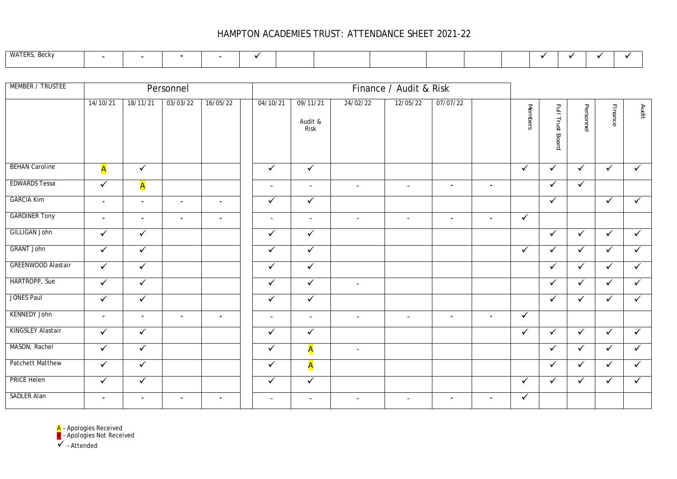## HAMPTON ACADEMIES TRUST: ATTENDANCE SHEET 2021-22

| WATERS. |  |  |  |  |  |  |  |  |
|---------|--|--|--|--|--|--|--|--|

| MEMBER / TRUSTEE          |                          |                | Personnel      |                |                          |                             |                          | Finance / Audit & Risk   |                          |                          |                |                  |              |              |              |
|---------------------------|--------------------------|----------------|----------------|----------------|--------------------------|-----------------------------|--------------------------|--------------------------|--------------------------|--------------------------|----------------|------------------|--------------|--------------|--------------|
|                           | 14/10/21                 | 18/11/21       | 03/03/22       | 16/05/22       | 04/10/21                 | 09/11/21<br>Audit &<br>Risk | 24/02/22                 | 12/05/22                 | 07/07/22                 |                          | <b>Members</b> | Full Trust Board | Personnel    | Finance      | Audit        |
| <b>BEHAN Caroline</b>     | A                        | $\checkmark$   |                |                | $\checkmark$             | $\checkmark$                |                          |                          |                          |                          | $\checkmark$   | $\checkmark$     | $\checkmark$ | $\checkmark$ | $\checkmark$ |
| <b>EDWARDS Tessa</b>      | $\checkmark$             | A              |                |                | $\overline{\phantom{a}}$ | $\overline{\phantom{a}}$    | $\overline{\phantom{0}}$ | $\sim$                   | $\overline{\phantom{a}}$ | $\blacksquare$           |                | $\checkmark$     | $\checkmark$ |              |              |
| <b>GARCIA Kim</b>         | $\sim$                   | $\blacksquare$ | $\sim$         | $\blacksquare$ | $\checkmark$             | $\checkmark$                |                          |                          |                          |                          |                | $\checkmark$     |              | $\checkmark$ | $\checkmark$ |
| <b>GARDINER Tony</b>      | $\blacksquare$           | $\blacksquare$ | $\blacksquare$ | $\blacksquare$ | $\overline{\phantom{a}}$ | $\sim$                      | $\sim$                   | $\overline{\phantom{a}}$ | $\sim$                   | $\overline{\phantom{a}}$ | $\checkmark$   |                  |              |              |              |
| <b>GILLIGAN John</b>      | $\checkmark$             | $\checkmark$   |                |                | $\checkmark$             | $\checkmark$                |                          |                          |                          |                          |                | $\checkmark$     | $\checkmark$ | $\checkmark$ | $\checkmark$ |
| <b>GRANT John</b>         | $\sqrt{}$                | $\checkmark$   |                |                | $\checkmark$             | $\sqrt{}$                   |                          |                          |                          |                          | $\checkmark$   | $\checkmark$     | $\checkmark$ | $\checkmark$ | $\checkmark$ |
| <b>GREENWOOD Alastair</b> | $\checkmark$             | $\checkmark$   |                |                | $\checkmark$             | $\checkmark$                |                          |                          |                          |                          |                | $\checkmark$     | $\checkmark$ | $\checkmark$ | $\checkmark$ |
| HARTROPP, Sue             | $\checkmark$             | $\checkmark$   |                |                | $\checkmark$             | $\checkmark$                | $\overline{\phantom{0}}$ |                          |                          |                          |                | $\checkmark$     | $\checkmark$ | $\checkmark$ | $\checkmark$ |
| <b>JONES Paul</b>         | $\sqrt{}$                | $\checkmark$   |                |                | $\checkmark$             | $\blacktriangledown$        |                          |                          |                          |                          |                | $\checkmark$     | $\checkmark$ | $\checkmark$ | $\checkmark$ |
| <b>KENNEDY John</b>       | $\blacksquare$           | $\blacksquare$ | $\sim$         | $\blacksquare$ | $\overline{\phantom{a}}$ | $\overline{\phantom{a}}$    | $\overline{\phantom{a}}$ | $\overline{\phantom{a}}$ | $\blacksquare$           | $\blacksquare$           | $\checkmark$   |                  |              |              |              |
| KINGSLEY Alastair         | $\checkmark$             | $\checkmark$   |                |                | $\checkmark$             | $\checkmark$                |                          |                          |                          |                          | $\checkmark$   | $\checkmark$     | $\checkmark$ | $\checkmark$ | $\checkmark$ |
| MASON, Rachel             | $\checkmark$             | $\checkmark$   |                |                | $\checkmark$             | A                           | $\sim$                   |                          |                          |                          |                | $\checkmark$     | $\checkmark$ | $\checkmark$ | $\checkmark$ |
| <b>Patchett Matthew</b>   | $\checkmark$             | $\checkmark$   |                |                | $\checkmark$             | A                           |                          |                          |                          |                          |                | $\checkmark$     | $\checkmark$ | $\checkmark$ | $\checkmark$ |
| <b>PRICE Helen</b>        | $\checkmark$             | $\checkmark$   |                |                | $\checkmark$             | $\overline{\checkmark}$     |                          |                          |                          |                          | $\checkmark$   | $\checkmark$     | $\checkmark$ | $\checkmark$ | $\checkmark$ |
| <b>SADLER Alan</b>        | $\overline{\phantom{a}}$ | $\blacksquare$ | $\sim$         | $\blacksquare$ | $\overline{\phantom{a}}$ | $\overline{\phantom{a}}$    | $\overline{\phantom{a}}$ | $\overline{\phantom{a}}$ | $\blacksquare$           | $\blacksquare$           | $\checkmark$   |                  |              |              |              |